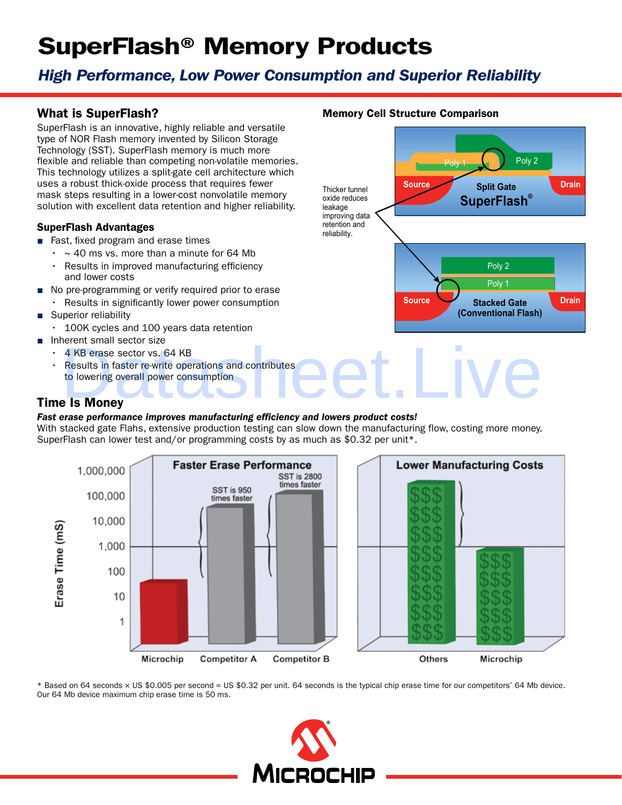# SuperFlash® Memory Products

# *High Performance, Low Power Consumption and Superior Reliability*

## What is SuperFlash?

SuperFlash is an innovative, highly reliable and versatile type of NOR Flash memory invented by Silicon Storage Technology (SST). SuperFlash memory is much more flexible and reliable than competing non-volatile memories. This technology utilizes a split-gate cell architecture which uses a robust thick-oxide process that requires fewer mask steps resulting in a lower-cost nonvolatile memory solution with excellent data retention and higher reliability.

#### SuperFlash Advantages

- Fast, fixed program and erase times
	- $\cdot$  ~ 40 ms vs. more than a minute for 64 Mb
	- •   Results in improved manufacturing efficiency and lower costs
- No pre-programming or verify required prior to erase
	- •   Results in significantly lower power consumption
- Superior reliability
	- •   100K cycles and 100 years data retention
- Inherent small sector size
	- 4 KB erase sector vs. 64 KB
	- •   Results in faster re-write operations and contributes to lowering overall power consumption PREFINITE SINGLET SIZE<br>
	4 KB erase sector vs. 64 KB<br>
	Results in faster re-write operations and contributes<br>
	to lowering overall power consumption<br>
	B Is Money

### Time Is Money

#### *Fast erase performance improves manufacturing efficiency and lowers product costs!*

With stacked gate Flahs, extensive production testing can slow down the manufacturing flow, costing more money. SuperFlash can lower test and/or programming costs by as much as \$0.32 per unit\*.





\* Based on 64 seconds × US \$0.005 per second = US \$0.32 per unit. 64 seconds is the typical chip erase time for our competitors' 64 Mb device. Our 64 Mb device maximum chip erase time is 50 ms.



#### Memory Cell Structure Comparison